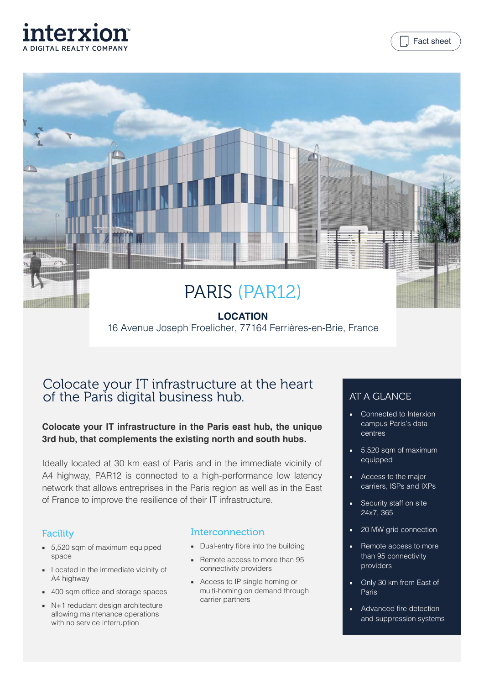





## **LOCATION** 16 Avenue Joseph Froelicher, 77164 Ferrières-en-Brie, France

# Colocate your IT infrastructure at the heart of the Paris digital business hub.

### **Colocate your IT infrastructure in the Paris east hub, the unique 3rd hub, that complements the existing north and south hubs.**

Ideally located at 30 km east of Paris and in the immediate vicinity of A4 highway, PAR12 is connected to a high-performance low latency network that allows entreprises in the Paris region as well as in the East of France to improve the resilience of their IT infrastructure.

## **Facility**

- 5,520 sqm of maximum equipped space
- Located in the immediate vicinity of A4 highway
- 400 sqm office and storage spaces
- N+1 redudant design architecture allowing maintenance operations with no service interruption

#### Interconnection

- Dual-entry fibre into the building
- Remote access to more than 95 connectivity providers
- Access to IP single homing or multi-homing on demand through carrier partners

## AT A GLANCE

- Connected to Interxion campus Paris's data centres
- 5,520 sqm of maximum equipped
- Access to the major carriers, ISPs and IXPs
- Security staff on site 24x7, 365
- 20 MW grid connection
- Remote access to more than 95 connectivity providers
- Only 30 km from East of Paris
- Advanced fire detection and suppression systems